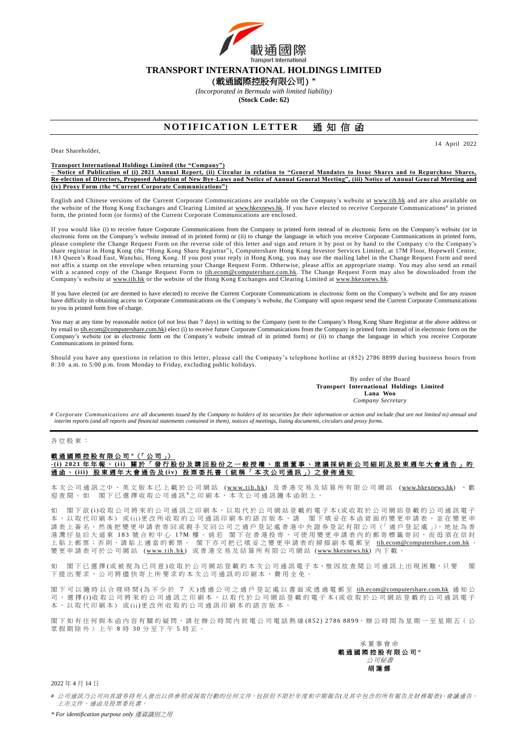

## **TRANSPORT INTERNATIONAL HOLDINGS LIMITED**

(載通國際控股有限公司) \*

*(Incorporated in Bermuda with limited liability)* **(Stock Code: 62)**

# **NOTIFICATION LETTER 通知信函**

14 April 2022

Dear Shareholder,

#### **Transport International Holdings Limited (the "Company")**

**– Notice of Publication of (i) 2021 Annual Report, (ii) Circular in relation to "General Mandates to Issue Shares and to Repurchase Shares, Re-election of Directors, Proposed Adoption of New Bye-Laws and Notice of Annual General Meeting", (iii) Notice of Annual Gene ral Meeting and (iv) Proxy Form (the "Current Corporate Communications")**

English and Chinese versions of the Current Corporate Communications are available on the Company's website at [www.tih.hk](http://www.tih.hk/english.php) and are also available on the website of the Hong Kong Exchanges and Clearing Limited at [www.hkexnews.hk.](http://www.hkexnews.hk/) If you have elected to receive Corporate Communications<sup>#</sup> in printed form, the printed form (or forms) of the Current Corporate Communications are enclosed.

If you would like (i) to receive future Corporate Communications from the Company in printed form instead of in electronic form on the Company's website (or in electronic form on the Company's website instead of in printed form) or (ii) to change the language in which you receive Corporate Communications in printed form, please complete the Change Request Form on the reverse side of this letter and sign and return it by post or by hand to the Company c/o the Company's share registrar in Hong Kong (the "Hong Kong Share Registrar"), Computershare Hong Kong Investor Services Limited, at 17M Floor, Hopewell Centre, 183 Queen's Road East, Wanchai, Hong Kong. If you post your reply in Hong Kong, you may use the mailing label in the Change Request Form and need not affix a stamp on the envelope when returning your Change Request Form. Otherwise, please affix an appropriate stamp. You may also send an email with a scanned copy of the Change Request Form to [tih.ecom@computershare.com.hk.](mailto:tih.ecom@computershare.com.hk) The Change Request Form may also be downloaded from the Company's website a[t www.tih.hk](http://www.tih.hk/english.php) or the website of the Hong Kong Exchanges and Clearing Limited at [www.hkexnews.hk.](http://www.hkexnews.hk/)

If you have elected (or are deemed to have elected) to receive the Current Corporate Communications in electronic form on the Company's website and for any reason have difficulty in obtaining access to Corporate Communications on the Company's website, the Company will upon request send the Current Corporate Communications to you in printed form free of charge.

You may at any time by reasonable notice (of not less than 7 days) in writing to the Company (sent to the Company's Hong Kong Share Registrar at the above address or by email t[o tih.ecom@computershare.com.hk\)](mailto:tih.ecom@computershare.com.hk) elect (i) to receive future Corporate Communications from the Company in printed form instead of in electronic form on the Company's website (or in electronic form on the Company's website instead of in printed form) or (ii) to change the language in which you receive Corporate Communications in printed form.

Should you have any questions in relation to this letter, please call the Company's telephone hotline at (852) 2786 8899 during business hours from 8:30 a.m. to 5:00 p.m. from Monday to Friday, excluding public holidays.

> By order of the Board **Transport International Holdings Limited Lana Woo** *Company Secretary*

*# Corporate Communications are all documents issued by the Company to holders of its securities for their information or action and include (but are not limited to) annual and interim reports (and all reports and financial statements contained in them), notices of meetings, listing documents, circulars and proxy forms.*

## 各位股東 :

### 載通國際控股有限公司 \*(「公司」) **-( i ) 2 0 2 1** 年年報、 **( i i )** 關 於 「 發 行 股 份 及 購 回 股 份 之 一 般 授 權 、 重 選 董 事 、 建議採納新 公 司 細 則 及股東週年大會通告」的 通函、 **( i i i )** 股 東 週 年 大 會 通 告 及 **( i v )** 投票委托書(統稱 「 本 次 公 司 通 訊 」) 之 發 佈 通 知

本 次 公 司 通 訊 之 中 、 英 文 版 本 已 上 載 於 公 司 網 站 (www.tih.hk) 及 香 港 交 易 及 結 算 所 有 限 公 司 網 站 [\(www.hkexnews.hk\)](https://www.hkexnews.hk/index_c.htm) , 歡 迎查閱。如 閣下已選擇收取公司通訊 之印刷本, 本次公司通訊隨本函附上。

如 閣下欲 (i)收 取 公 司將 來 的 公 司 通 訊 之 印 刷 本 , 以 取 代 於 公 司 網 站 登 載 的 電 子 本 (或 收 取 於 公 司 網 站 登 載 的 公 司 通 訊 電 子 本,以取代印刷本)或(ii)更改所收取的公司通訊印刷本的語言版本,請 閣下填妥在本函背面的變更申請表,並在變更申 請表上簽名,然後把變更申請表寄回或親手交回公司之過戶登記處香港中央證券登記有限公司(「過戶登記處」),地址為香 港灣仔皇后大道東 183 號合和中心 17M 樓。倘若 閣下在香港投寄,可使用變更申請表內的郵寄標籤寄回,而毋須在信封 上 貼 上 郵 票 ; 否 則 , 請 貼 上 適 當 的 郵 票 。 閣下亦可把已填妥之變更申請表的掃描副本電郵 至 [tih.ecom@computershare.com.hk](mailto:tih.ecom@computershare.com.hk) 。 變 更 申請表可於 公 司 網 站 [\(w w w.](http://www.tih.hk/) t i h . h k ) 或香港 交易及結算所有限公司 網 站 [\(www.hkexnews.hk\)](https://www.hkexnews.hk/index_c.htm) 內 下 載 。

閣下已選擇(或被視為已同意)收取於公司網站登載的本次公司通訊電子本,惟因故查閱公司通訊上出現困難,只要 下提出要求, 公司將儘快寄上所要求的本次公司通訊的印刷本,費用全免。

閣 下 可 以 隨 時 以 合 理 時 間 ( 為 不 少 於 7 天 ) 透 過 公 司 之 過 戶 登 記 處 以 書 面 或 透 過 電 郵 至 [tih.ecom@computershare.com.hk](mailto:tih.ecom@computershare.com.hk) 通知公 司 , 選 擇 (i) 收 取 公 司 將 來 的 公 司 通 訊 之 印 刷 本 , 以 取 代 於 公 司 網 站 登 載 的 電 子 本 ( 或 收 取 於 公 司 網 站 登 載 的 公 司 通 訊 電 子 本,以取代印刷本) 或(ii)更改所收取的公司通訊印刷本的語言版本

閣下如有任何與本函內容有關的疑問,請在辦公時間內致電公司電話熱線(852) 2786 8899,辦公時間為星期一至星期五(公 眾假期除外)上午8時30分至下午5時正。



2022 年 4 月 14 日

*#* 公司通訊乃公司向其證券持有人發出以供參照或採取行動的任何文件,包括但不限於年度和中期報告*(*及其中包含的所有報告及財務報表*)*、會議通告、 上市文件、通函及投票委托書。

*\* For identification purpose only* 僅資識別之用